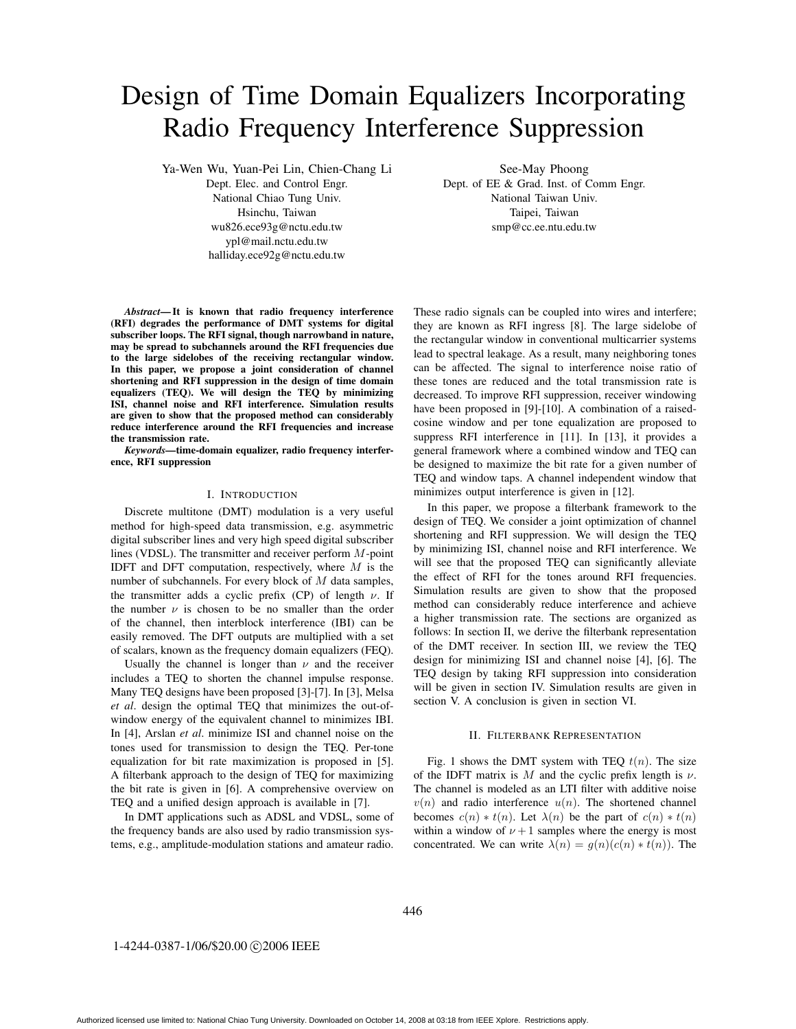# Design of Time Domain Equalizers Incorporating Radio Frequency Interference Suppression

Ya-Wen Wu, Yuan-Pei Lin, Chien-Chang Li

Dept. Elec. and Control Engr. National Chiao Tung Univ. Hsinchu, Taiwan wu826.ece93g@nctu.edu.tw ypl@mail.nctu.edu.tw halliday.ece92g@nctu.edu.tw

See-May Phoong Dept. of EE & Grad. Inst. of Comm Engr. National Taiwan Univ. Taipei, Taiwan smp@cc.ee.ntu.edu.tw

*Abstract***— It is known that radio frequency interference (RFI) degrades the performance of DMT systems for digital subscriber loops. The RFI signal, though narrowband in nature, may be spread to subchannels around the RFI frequencies due to the large sidelobes of the receiving rectangular window. In this paper, we propose a joint consideration of channel shortening and RFI suppression in the design of time domain equalizers (TEQ). We will design the TEQ by minimizing ISI, channel noise and RFI interference. Simulation results are given to show that the proposed method can considerably reduce interference around the RFI frequencies and increase the transmission rate.**

*Keywords—***time-domain equalizer, radio frequency interference, RFI suppression**

# I. INTRODUCTION

Discrete multitone (DMT) modulation is a very useful method for high-speed data transmission, e.g. asymmetric digital subscriber lines and very high speed digital subscriber lines (VDSL). The transmitter and receiver perform M-point IDFT and DFT computation, respectively, where  $M$  is the number of subchannels. For every block of M data samples, the transmitter adds a cyclic prefix (CP) of length  $\nu$ . If the number  $\nu$  is chosen to be no smaller than the order of the channel, then interblock interference (IBI) can be easily removed. The DFT outputs are multiplied with a set of scalars, known as the frequency domain equalizers (FEQ).

Usually the channel is longer than  $\nu$  and the receiver includes a TEQ to shorten the channel impulse response. Many TEQ designs have been proposed [3]-[7]. In [3], Melsa *et al*. design the optimal TEQ that minimizes the out-ofwindow energy of the equivalent channel to minimizes IBI. In [4], Arslan *et al*. minimize ISI and channel noise on the tones used for transmission to design the TEQ. Per-tone equalization for bit rate maximization is proposed in [5]. A filterbank approach to the design of TEQ for maximizing the bit rate is given in [6]. A comprehensive overview on TEQ and a unified design approach is available in [7].

In DMT applications such as ADSL and VDSL, some of the frequency bands are also used by radio transmission systems, e.g., amplitude-modulation stations and amateur radio. These radio signals can be coupled into wires and interfere; they are known as RFI ingress [8]. The large sidelobe of the rectangular window in conventional multicarrier systems lead to spectral leakage. As a result, many neighboring tones can be affected. The signal to interference noise ratio of these tones are reduced and the total transmission rate is decreased. To improve RFI suppression, receiver windowing have been proposed in [9]-[10]. A combination of a raisedcosine window and per tone equalization are proposed to suppress RFI interference in [11]. In [13], it provides a general framework where a combined window and TEQ can be designed to maximize the bit rate for a given number of TEQ and window taps. A channel independent window that minimizes output interference is given in [12].

In this paper, we propose a filterbank framework to the design of TEQ. We consider a joint optimization of channel shortening and RFI suppression. We will design the TEQ by minimizing ISI, channel noise and RFI interference. We will see that the proposed TEQ can significantly alleviate the effect of RFI for the tones around RFI frequencies. Simulation results are given to show that the proposed method can considerably reduce interference and achieve a higher transmission rate. The sections are organized as follows: In section II, we derive the filterbank representation of the DMT receiver. In section III, we review the TEQ design for minimizing ISI and channel noise [4], [6]. The TEQ design by taking RFI suppression into consideration will be given in section IV. Simulation results are given in section V. A conclusion is given in section VI.

# II. FILTERBANK REPRESENTATION

Fig. 1 shows the DMT system with TEQ  $t(n)$ . The size of the IDFT matrix is M and the cyclic prefix length is  $\nu$ . The channel is modeled as an LTI filter with additive noise  $v(n)$  and radio interference  $u(n)$ . The shortened channel becomes  $c(n) * t(n)$ . Let  $\lambda(n)$  be the part of  $c(n) * t(n)$ within a window of  $\nu + 1$  samples where the energy is most concentrated. We can write  $\lambda(n) = g(n)(c(n) * t(n))$ . The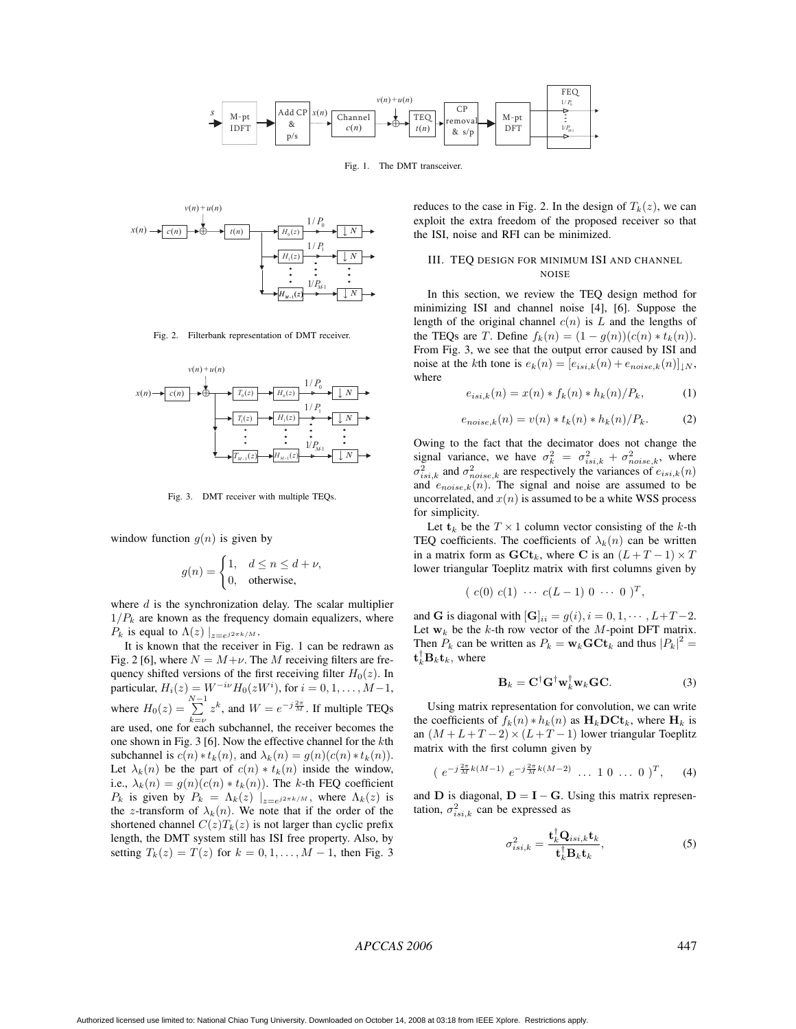

Fig. 1. The DMT transceiver.



Fig. 2. Filterbank representation of DMT receiver.



Fig. 3. DMT receiver with multiple TEQs.

window function  $q(n)$  is given by

$$
g(n) = \begin{cases} 1, & d \le n \le d + \nu, \\ 0, & \text{otherwise,} \end{cases}
$$

where  $d$  is the synchronization delay. The scalar multiplier  $1/P_k$  are known as the frequency domain equalizers, where  $P_k$  is equal to  $\Lambda(z) \mid_{z=e^{j2\pi k/M}}$ .

It is known that the receiver in Fig. 1 can be redrawn as Fig. 2 [6], where  $N = M+\nu$ . The M receiving filters are frequency shifted versions of the first receiving filter  $H_0(z)$ . In particular,  $H_i(z) = W^{-i\nu} H_0(zW^i)$ , for  $i = 0, 1, ..., M-1$ , where  $H_0(z) = \sum_{k=\nu}^{N-1}$  $\sum_{k=\nu}^{\infty} z^k$ , and  $W = e^{-j\frac{2\pi}{M}}$ . If multiple TEQs are used, one for each subchannel, the receiver becomes the one shown in Fig. 3 [6]. Now the effective channel for the kth subchannel is  $c(n) * t_k(n)$ , and  $\lambda_k(n) = g(n)(c(n) * t_k(n))$ . Let  $\lambda_k(n)$  be the part of  $c(n) * t_k(n)$  inside the window, i.e.,  $\lambda_k(n) = g(n)(c(n) * t_k(n))$ . The k-th FEQ coefficient  $P_k$  is given by  $P_k = \Lambda_k(z) |_{z=e^{j2\pi k/M}}$ , where  $\Lambda_k(z)$  is the z-transform of  $\lambda_k(n)$ . We note that if the order of the shortened channel  $C(z)T_k(z)$  is not larger than cyclic prefix length, the DMT system still has ISI free property. Also, by setting  $T_k(z) = T(z)$  for  $k = 0, 1, \ldots, M - 1$ , then Fig. 3

reduces to the case in Fig. 2. In the design of  $T_k(z)$ , we can exploit the extra freedom of the proposed receiver so that the ISI, noise and RFI can be minimized.

# III. TEQ DESIGN FOR MINIMUM ISI AND CHANNEL NOISE

In this section, we review the TEQ design method for minimizing ISI and channel noise [4], [6]. Suppose the length of the original channel  $c(n)$  is L and the lengths of the TEQs are T. Define  $f_k(n) = (1 - g(n))(c(n) * t_k(n)).$ From Fig. 3, we see that the output error caused by ISI and noise at the kth tone is  $e_k(n)=[e_{isi,k}(n) + e_{noise,k}(n)]_{\downarrow N}$ , where

$$
e_{isi,k}(n) = x(n) * f_k(n) * h_k(n) / P_k,
$$
 (1)

$$
e_{noise,k}(n) = v(n) * t_k(n) * h_k(n) / P_k.
$$
 (2)

Owing to the fact that the decimator does not change the signal variance, we have  $\sigma_k^2 = \sigma_{\text{is}i,k}^2 + \sigma_{\text{noise},k}^2$ , where  $\sigma_k^2 = \text{and } \sigma_k^2$ , are respectively the variances of  $e_{k+1}(n)$ .  $\sigma_{isi,k}^2$  and  $\sigma_{noise,k}^2$  are respectively the variances of  $e_{isi,k}(n)$ <br>and  $e_{ij,k}(n)$ . The signal and noise are assumed to be and  $e_{noise,k}(n)$ . The signal and noise are assumed to be uncorrelated, and  $x(n)$  is assumed to be a white WSS process for simplicity.

Let  $\mathbf{t}_k$  be the  $T \times 1$  column vector consisting of the k-th TEQ coefficients. The coefficients of  $\lambda_k(n)$  can be written in a matrix form as  $\mathbf{G} \mathbf{C} \mathbf{t}_k$ , where **C** is an  $(L + T - 1) \times T$ lower triangular Toeplitz matrix with first columns given by

$$
(c(0) c(1) \cdots c(L-1) 0 \cdots 0)^T,
$$

and **G** is diagonal with  $[\mathbf{G}]_{ii} = g(i), i = 0, 1, \cdots, L+T-2.$ Let  $w_k$  be the k-th row vector of the M-point DFT matrix. Then  $P_k$  can be written as  $P_k = \mathbf{w}_k \mathbf{G} \mathbf{C} \mathbf{t}_k$  and thus  $|P_k|^2$  $\mathbf{t}_k^{\dagger} \mathbf{B}_k \mathbf{t}_k$ , where

$$
\mathbf{B}_k = \mathbf{C}^\dagger \mathbf{G}^\dagger \mathbf{w}_k^\dagger \mathbf{w}_k \mathbf{G} \mathbf{C}.
$$
 (3)

Using matrix representation for convolution, we can write the coefficients of  $f_k(n) * h_k(n)$  as  $H_kDCt_k$ , where  $H_k$  is an  $(M + L + T - 2) \times (L + T - 1)$  lower triangular Toeplitz matrix with the first column given by

$$
(e^{-j\frac{2\pi}{M}k(M-1)}e^{-j\frac{2\pi}{M}k(M-2)}\dots 10\dots 0)^T
$$
, (4)

and **D** is diagonal,  $D = I - G$ . Using this matrix representation,  $\sigma_{isi,k}^2$  can be expressed as

$$
\sigma_{isi,k}^2 = \frac{\mathbf{t}_k^{\dagger} \mathbf{Q}_{isi,k} \mathbf{t}_k}{\mathbf{t}_k^{\dagger} \mathbf{B}_k \mathbf{t}_k},\tag{5}
$$

# *APCCAS 2006* 447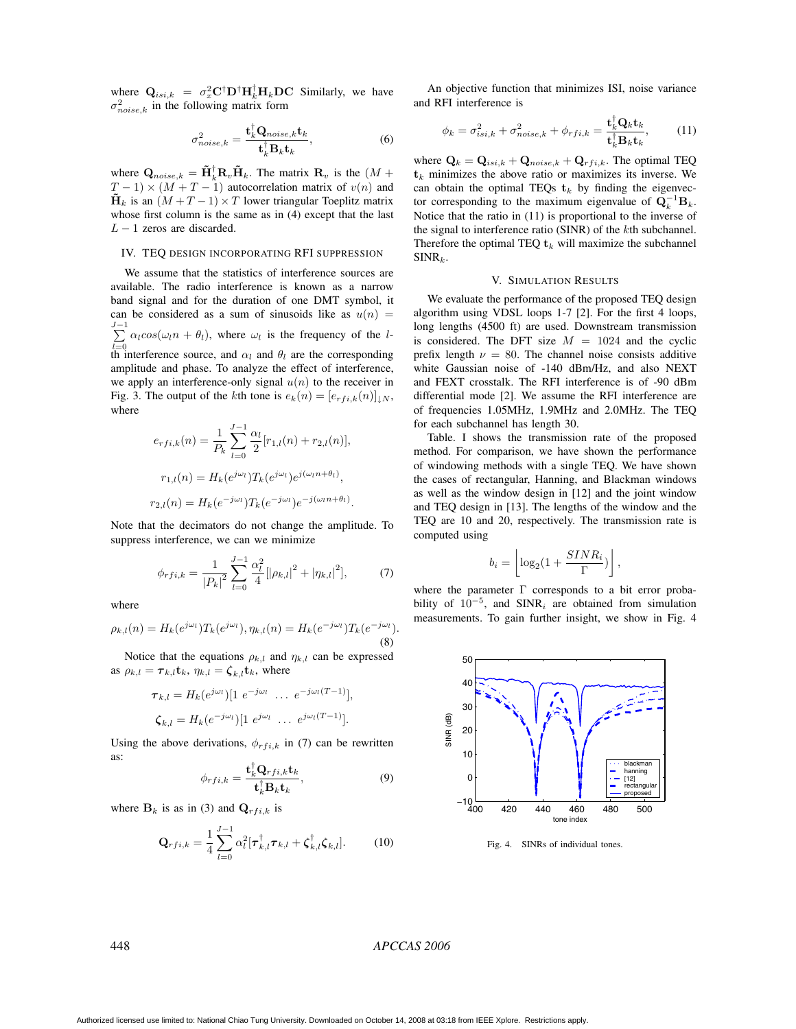where  $Q_{isi,k} = \sigma_x^2 C^{\dagger} D^{\dagger} H_k^{\dagger} H_k D C$  Similarly, we have  $\sigma_{noise,k}^2$  in the following matrix form

$$
\sigma_{noise,k}^2 = \frac{\mathbf{t}_k^{\dagger} \mathbf{Q}_{noise,k} \mathbf{t}_k}{\mathbf{t}_k^{\dagger} \mathbf{B}_k \mathbf{t}_k},
$$
\n(6)

where  $\mathbf{Q}_{noise,k} = \tilde{\mathbf{H}}_k^{\dagger} \mathbf{R}_v \tilde{\mathbf{H}}_k$ . The matrix  $\mathbf{R}_v$  is the  $(M + T - 1) \times (M + T - 1)$  autocorrelation matrix of  $v(n)$  and  $T-1 \times (M + T - 1)$  autocorrelation matrix of  $v(n)$  and  $\mathbf{H}_k$  is an  $(M + T - 1) \times T$  lower triangular Toeplitz matrix whose first column is the same as in (4) except that the last  $L - 1$  zeros are discarded.

# IV. TEQ DESIGN INCORPORATING RFI SUPPRESSION

We assume that the statistics of interference sources are available. The radio interference is known as a narrow band signal and for the duration of one DMT symbol, it can be considered as a sum of sinusoids like as  $u(n)$  =  $\sum_{ }^{ }$  $\sum_{l=0} \alpha_l cos(\omega_l n + \theta_l)$ , where  $\omega_l$  is the frequency of the lth interference source, and  $\alpha_l$  and  $\theta_l$  are the corresponding amplitude and phase. To analyze the effect of interference, we apply an interference-only signal  $u(n)$  to the receiver in Fig. 3. The output of the kth tone is  $e_k(n)=[e_{rf i,k}(n)]_{\downarrow N}$ , where

$$
e_{rfi,k}(n) = \frac{1}{P_k} \sum_{l=0}^{J-1} \frac{\alpha_l}{2} [r_{1,l}(n) + r_{2,l}(n)],
$$
  

$$
r_{1,l}(n) = H_k(e^{j\omega_l}) T_k(e^{j\omega_l}) e^{j(\omega_l n + \theta_l)},
$$
  

$$
r_{2,l}(n) = H_k(e^{-j\omega_l}) T_k(e^{-j\omega_l}) e^{-j(\omega_l n + \theta_l)}.
$$

Note that the decimators do not change the amplitude. To suppress interference, we can we minimize

$$
\phi_{rfi,k} = \frac{1}{|P_k|^2} \sum_{l=0}^{J-1} \frac{\alpha_l^2}{4} [|\rho_{k,l}|^2 + |\eta_{k,l}|^2],\tag{7}
$$

where

$$
\rho_{k,l}(n) = H_k(e^{j\omega_l})T_k(e^{j\omega_l}), \eta_{k,l}(n) = H_k(e^{-j\omega_l})T_k(e^{-j\omega_l}).
$$
\n(8)

Notice that the equations  $\rho_{k,l}$  and  $\eta_{k,l}$  can be expressed as  $\rho_{k,l} = \tau_{k,l} \mathbf{t}_k$ ,  $\eta_{k,l} = \zeta_{k,l} \mathbf{t}_k$ , where

$$
\tau_{k,l} = H_k(e^{j\omega_l})[1 \ e^{-j\omega_l} \ \dots \ e^{-j\omega_l(T-1)}],
$$
  

$$
\zeta_{k,l} = H_k(e^{-j\omega_l})[1 \ e^{j\omega_l} \ \dots \ e^{j\omega_l(T-1)}].
$$

Using the above derivations,  $\phi_{rfi,k}$  in (7) can be rewritten as:

$$
\phi_{rfi,k} = \frac{\mathbf{t}_k^{\dagger} \mathbf{Q}_{rfi,k} \mathbf{t}_k}{\mathbf{t}_k^{\dagger} \mathbf{B}_k \mathbf{t}_k},\tag{9}
$$

where  $\mathbf{B}_k$  is as in (3) and  $\mathbf{Q}_{rf i,k}$  is

$$
\mathbf{Q}_{rfi,k} = \frac{1}{4} \sum_{l=0}^{J-1} \alpha_l^2 [\tau_{k,l}^{\dagger} \tau_{k,l} + \zeta_{k,l}^{\dagger} \zeta_{k,l}]. \tag{10}
$$

An objective function that minimizes ISI, noise variance and RFI interference is

$$
\phi_k = \sigma_{isi,k}^2 + \sigma_{noise,k}^2 + \phi_{rfi,k} = \frac{\mathbf{t}_k^{\dagger} \mathbf{Q}_k \mathbf{t}_k}{\mathbf{t}_k^{\dagger} \mathbf{B}_k \mathbf{t}_k},\tag{11}
$$

where  $\mathbf{Q}_k = \mathbf{Q}_{isi,k} + \mathbf{Q}_{noise,k} + \mathbf{Q}_{rfi,k}$ . The optimal TEQ  $t_k$  minimizes the above ratio or maximizes its inverse. We can obtain the optimal TEQs  $t_k$  by finding the eigenvector corresponding to the maximum eigenvalue of  $\mathbf{Q}_k^{-1} \mathbf{B}_k$ . Notice that the ratio in (11) is proportional to the inverse of the signal to interference ratio (SINR) of the kth subchannel. Therefore the optimal TEQ  $t_k$  will maximize the subchannel  $SINR_k$ .

#### V. SIMULATION RESULTS

We evaluate the performance of the proposed TEQ design algorithm using VDSL loops 1-7 [2]. For the first 4 loops, long lengths (4500 ft) are used. Downstream transmission is considered. The DFT size  $M = 1024$  and the cyclic prefix length  $\nu = 80$ . The channel noise consists additive white Gaussian noise of -140 dBm/Hz, and also NEXT and FEXT crosstalk. The RFI interference is of -90 dBm differential mode [2]. We assume the RFI interference are of frequencies 1.05MHz, 1.9MHz and 2.0MHz. The TEQ for each subchannel has length 30.

Table. I shows the transmission rate of the proposed method. For comparison, we have shown the performance of windowing methods with a single TEQ. We have shown the cases of rectangular, Hanning, and Blackman windows as well as the window design in [12] and the joint window and TEQ design in [13]. The lengths of the window and the TEQ are 10 and 20, respectively. The transmission rate is computed using

$$
b_i = \left\lfloor \log_2\left(1 + \frac{SINR_i}{\Gamma}\right) \right\rfloor,
$$

where the parameter  $\Gamma$  corresponds to a bit error proba-<br>bility of  $10^{-5}$  and SINR, are obtained from simulation bility of  $10^{-5}$ , and SINR<sub>i</sub> are obtained from simulation measurements. To gain further insight, we show in Fig. 4



Fig. 4. SINRs of individual tones.

### 448 *APCCAS 2006*

Authorized licensed use limited to: National Chiao Tung University. Downloaded on October 14, 2008 at 03:18 from IEEE Xplore. Restrictions apply.